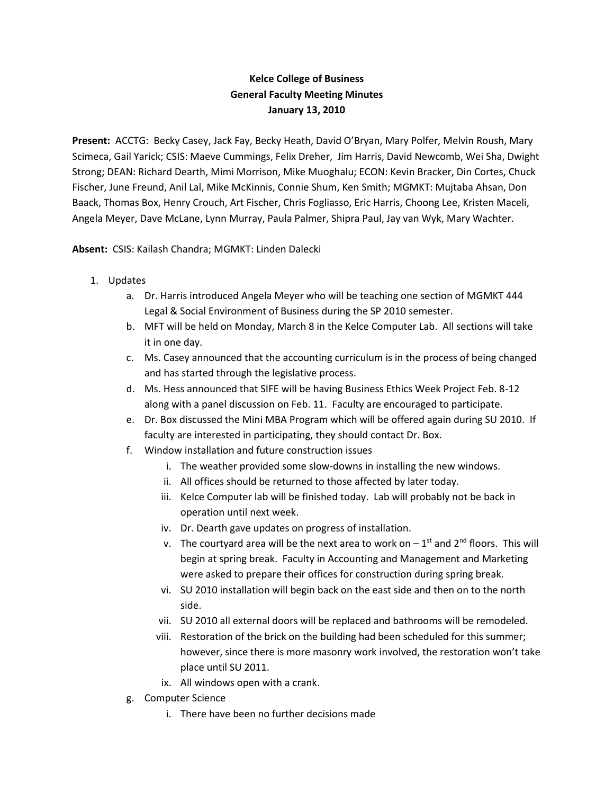## **Kelce College of Business General Faculty Meeting Minutes January 13, 2010**

**Present:** ACCTG: Becky Casey, Jack Fay, Becky Heath, David O'Bryan, Mary Polfer, Melvin Roush, Mary Scimeca, Gail Yarick; CSIS: Maeve Cummings, Felix Dreher, Jim Harris, David Newcomb, Wei Sha, Dwight Strong; DEAN: Richard Dearth, Mimi Morrison, Mike Muoghalu; ECON: Kevin Bracker, Din Cortes, Chuck Fischer, June Freund, Anil Lal, Mike McKinnis, Connie Shum, Ken Smith; MGMKT: Mujtaba Ahsan, Don Baack, Thomas Box, Henry Crouch, Art Fischer, Chris Fogliasso, Eric Harris, Choong Lee, Kristen Maceli, Angela Meyer, Dave McLane, Lynn Murray, Paula Palmer, Shipra Paul, Jay van Wyk, Mary Wachter.

**Absent:** CSIS: Kailash Chandra; MGMKT: Linden Dalecki

- 1. Updates
	- a. Dr. Harris introduced Angela Meyer who will be teaching one section of MGMKT 444 Legal & Social Environment of Business during the SP 2010 semester.
	- b. MFT will be held on Monday, March 8 in the Kelce Computer Lab. All sections will take it in one day.
	- c. Ms. Casey announced that the accounting curriculum is in the process of being changed and has started through the legislative process.
	- d. Ms. Hess announced that SIFE will be having Business Ethics Week Project Feb. 8-12 along with a panel discussion on Feb. 11. Faculty are encouraged to participate.
	- e. Dr. Box discussed the Mini MBA Program which will be offered again during SU 2010. If faculty are interested in participating, they should contact Dr. Box.
	- f. Window installation and future construction issues
		- i. The weather provided some slow-downs in installing the new windows.
		- ii. All offices should be returned to those affected by later today.
		- iii. Kelce Computer lab will be finished today. Lab will probably not be back in operation until next week.
		- iv. Dr. Dearth gave updates on progress of installation.
		- v. The courtyard area will be the next area to work on  $-1<sup>st</sup>$  and  $2<sup>nd</sup>$  floors. This will begin at spring break. Faculty in Accounting and Management and Marketing were asked to prepare their offices for construction during spring break.
		- vi. SU 2010 installation will begin back on the east side and then on to the north side.
		- vii. SU 2010 all external doors will be replaced and bathrooms will be remodeled.
		- viii. Restoration of the brick on the building had been scheduled for this summer; however, since there is more masonry work involved, the restoration won't take place until SU 2011.
		- ix. All windows open with a crank.
	- g. Computer Science
		- i. There have been no further decisions made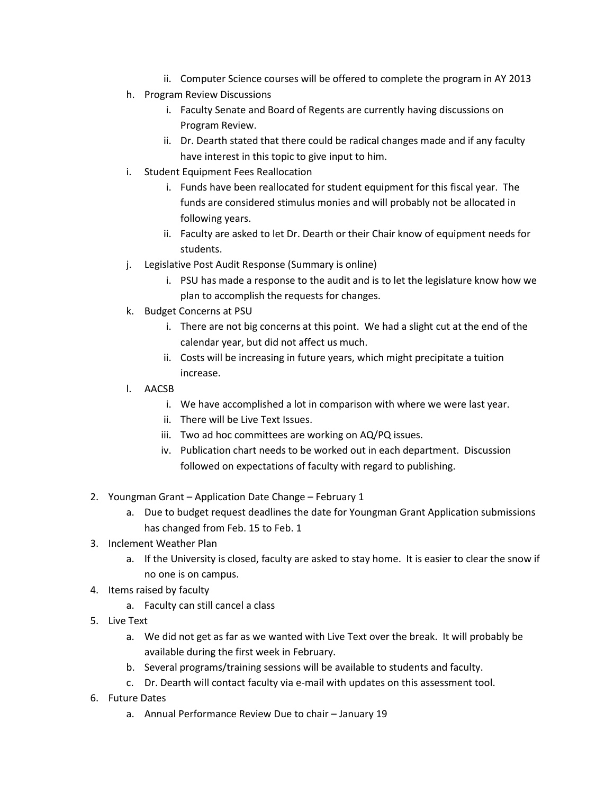- ii. Computer Science courses will be offered to complete the program in AY 2013
- h. Program Review Discussions
	- i. Faculty Senate and Board of Regents are currently having discussions on Program Review.
	- ii. Dr. Dearth stated that there could be radical changes made and if any faculty have interest in this topic to give input to him.
- i. Student Equipment Fees Reallocation
	- i. Funds have been reallocated for student equipment for this fiscal year. The funds are considered stimulus monies and will probably not be allocated in following years.
	- ii. Faculty are asked to let Dr. Dearth or their Chair know of equipment needs for students.
- j. Legislative Post Audit Response (Summary is online)
	- i. PSU has made a response to the audit and is to let the legislature know how we plan to accomplish the requests for changes.
- k. Budget Concerns at PSU
	- i. There are not big concerns at this point. We had a slight cut at the end of the calendar year, but did not affect us much.
	- ii. Costs will be increasing in future years, which might precipitate a tuition increase.
- l. AACSB
	- i. We have accomplished a lot in comparison with where we were last year.
	- ii. There will be Live Text Issues.
	- iii. Two ad hoc committees are working on AQ/PQ issues.
	- iv. Publication chart needs to be worked out in each department. Discussion followed on expectations of faculty with regard to publishing.
- 2. Youngman Grant Application Date Change February 1
	- a. Due to budget request deadlines the date for Youngman Grant Application submissions has changed from Feb. 15 to Feb. 1
- 3. Inclement Weather Plan
	- a. If the University is closed, faculty are asked to stay home. It is easier to clear the snow if no one is on campus.
- 4. Items raised by faculty
	- a. Faculty can still cancel a class
- 5. Live Text
	- a. We did not get as far as we wanted with Live Text over the break. It will probably be available during the first week in February.
	- b. Several programs/training sessions will be available to students and faculty.
	- c. Dr. Dearth will contact faculty via e-mail with updates on this assessment tool.
- 6. Future Dates
	- a. Annual Performance Review Due to chair January 19